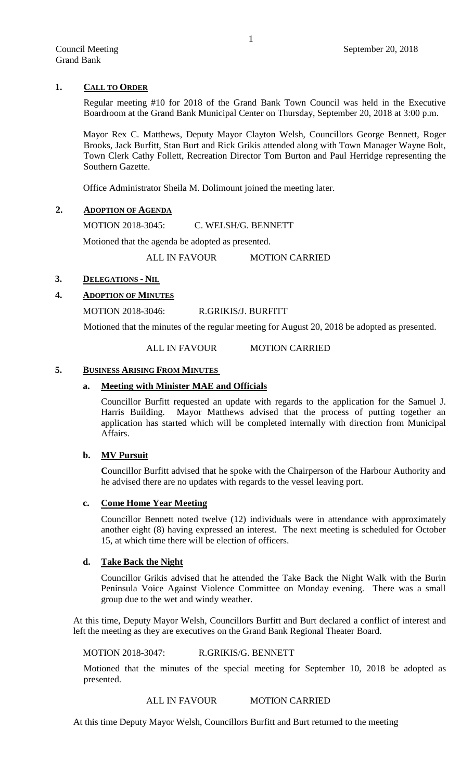## **1. CALL TO ORDER**

Regular meeting #10 for 2018 of the Grand Bank Town Council was held in the Executive Boardroom at the Grand Bank Municipal Center on Thursday, September 20, 2018 at 3:00 p.m.

Mayor Rex C. Matthews, Deputy Mayor Clayton Welsh, Councillors George Bennett, Roger Brooks, Jack Burfitt, Stan Burt and Rick Grikis attended along with Town Manager Wayne Bolt, Town Clerk Cathy Follett, Recreation Director Tom Burton and Paul Herridge representing the Southern Gazette.

Office Administrator Sheila M. Dolimount joined the meeting later.

## **2. ADOPTION OF AGENDA**

MOTION 2018-3045: C. WELSH/G. BENNETT

Motioned that the agenda be adopted as presented.

ALL IN FAVOUR MOTION CARRIED

## **3. DELEGATIONS - NIL**

## **4. ADOPTION OF MINUTES**

MOTION 2018-3046: R.GRIKIS/J. BURFITT

Motioned that the minutes of the regular meeting for August 20, 2018 be adopted as presented.

#### ALL IN FAVOUR MOTION CARRIED

#### **5. BUSINESS ARISING FROM MINUTES**

# **a. Meeting with Minister MAE and Officials**

Councillor Burfitt requested an update with regards to the application for the Samuel J. Harris Building. Mayor Matthews advised that the process of putting together an application has started which will be completed internally with direction from Municipal Affairs.

#### **b. MV Pursuit**

**C**ouncillor Burfitt advised that he spoke with the Chairperson of the Harbour Authority and he advised there are no updates with regards to the vessel leaving port.

#### **c. Come Home Year Meeting**

Councillor Bennett noted twelve (12) individuals were in attendance with approximately another eight (8) having expressed an interest. The next meeting is scheduled for October 15, at which time there will be election of officers.

#### **d. Take Back the Night**

Councillor Grikis advised that he attended the Take Back the Night Walk with the Burin Peninsula Voice Against Violence Committee on Monday evening. There was a small group due to the wet and windy weather.

At this time, Deputy Mayor Welsh, Councillors Burfitt and Burt declared a conflict of interest and left the meeting as they are executives on the Grand Bank Regional Theater Board.

MOTION 2018-3047: R.GRIKIS/G. BENNETT

Motioned that the minutes of the special meeting for September 10, 2018 be adopted as presented.

### ALL IN FAVOUR MOTION CARRIED

At this time Deputy Mayor Welsh, Councillors Burfitt and Burt returned to the meeting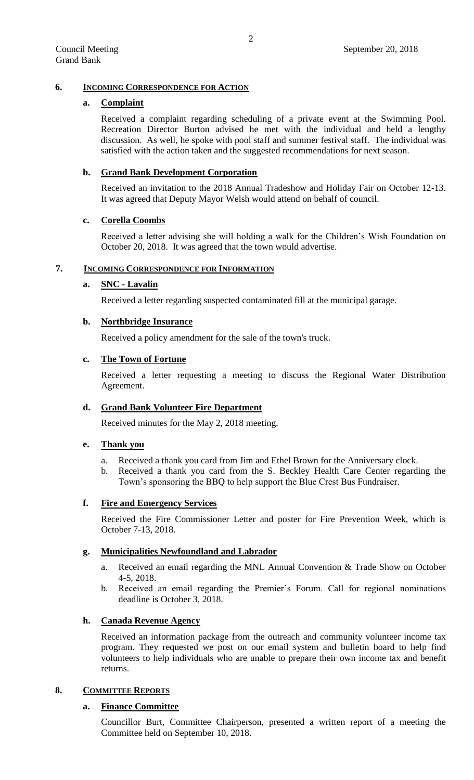# **6. INCOMING CORRESPONDENCE FOR ACTION**

## **a. Complaint**

Received a complaint regarding scheduling of a private event at the Swimming Pool. Recreation Director Burton advised he met with the individual and held a lengthy discussion. As well, he spoke with pool staff and summer festival staff. The individual was satisfied with the action taken and the suggested recommendations for next season.

## **b. Grand Bank Development Corporation**

Received an invitation to the 2018 Annual Tradeshow and Holiday Fair on October 12-13. It was agreed that Deputy Mayor Welsh would attend on behalf of council.

# **c. Corella Coombs**

Received a letter advising she will holding a walk for the Children's Wish Foundation on October 20, 2018. It was agreed that the town would advertise.

### **7. INCOMING CORRESPONDENCE FOR INFORMATION**

# **a. SNC - Lavalin**

Received a letter regarding suspected contaminated fill at the municipal garage.

### **b. Northbridge Insurance**

Received a policy amendment for the sale of the town's truck.

#### **c. The Town of Fortune**

Received a letter requesting a meeting to discuss the Regional Water Distribution Agreement.

### **d. Grand Bank Volunteer Fire Department**

Received minutes for the May 2, 2018 meeting.

### **e. Thank you**

- a. Received a thank you card from Jim and Ethel Brown for the Anniversary clock.
- b. Received a thank you card from the S. Beckley Health Care Center regarding the Town's sponsoring the BBQ to help support the Blue Crest Bus Fundraiser.

# **f. Fire and Emergency Services**

Received the Fire Commissioner Letter and poster for Fire Prevention Week, which is October 7-13, 2018.

### **g. Municipalities Newfoundland and Labrador**

- a. Received an email regarding the MNL Annual Convention & Trade Show on October 4-5, 2018.
- b. Received an email regarding the Premier's Forum. Call for regional nominations deadline is October 3, 2018.

#### **h. Canada Revenue Agency**

Received an information package from the outreach and community volunteer income tax program. They requested we post on our email system and bulletin board to help find volunteers to help individuals who are unable to prepare their own income tax and benefit returns.

## **8. COMMITTEE REPORTS**

#### **a. Finance Committee**

Councillor Burt, Committee Chairperson, presented a written report of a meeting the Committee held on September 10, 2018.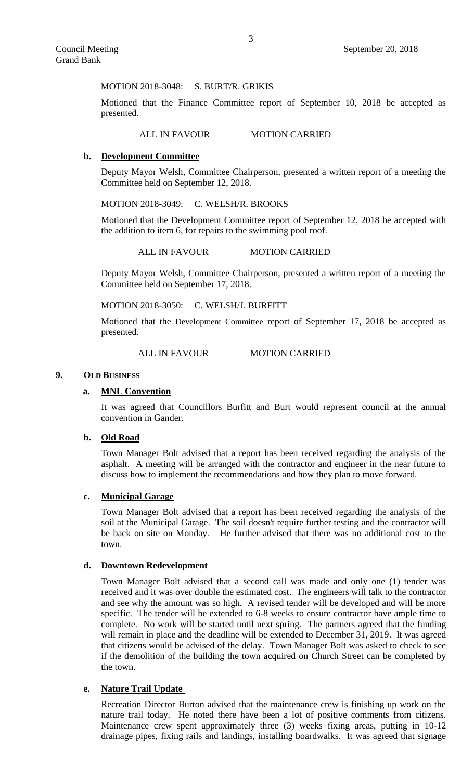MOTION 2018-3048: S. BURT/R. GRIKIS

Motioned that the Finance Committee report of September 10, 2018 be accepted as presented.

#### ALL IN FAVOUR MOTION CARRIED

### **b. Development Committee**

Deputy Mayor Welsh, Committee Chairperson, presented a written report of a meeting the Committee held on September 12, 2018.

MOTION 2018-3049: C. WELSH/R. BROOKS

Motioned that the Development Committee report of September 12, 2018 be accepted with the addition to item 6, for repairs to the swimming pool roof.

ALL IN FAVOUR MOTION CARRIED

Deputy Mayor Welsh, Committee Chairperson, presented a written report of a meeting the Committee held on September 17, 2018.

#### MOTION 2018-3050: C. WELSH/J. BURFITT

Motioned that the Development Committee report of September 17, 2018 be accepted as presented.

#### ALL IN FAVOUR MOTION CARRIED

#### **9. OLD BUSINESS**

#### **a. MNL Convention**

It was agreed that Councillors Burfitt and Burt would represent council at the annual convention in Gander.

### **b. Old Road**

Town Manager Bolt advised that a report has been received regarding the analysis of the asphalt. A meeting will be arranged with the contractor and engineer in the near future to discuss how to implement the recommendations and how they plan to move forward.

#### **c. Municipal Garage**

Town Manager Bolt advised that a report has been received regarding the analysis of the soil at the Municipal Garage. The soil doesn't require further testing and the contractor will be back on site on Monday. He further advised that there was no additional cost to the town.

## **d. Downtown Redevelopment**

Town Manager Bolt advised that a second call was made and only one (1) tender was received and it was over double the estimated cost. The engineers will talk to the contractor and see why the amount was so high. A revised tender will be developed and will be more specific. The tender will be extended to 6-8 weeks to ensure contractor have ample time to complete. No work will be started until next spring. The partners agreed that the funding will remain in place and the deadline will be extended to December 31, 2019. It was agreed that citizens would be advised of the delay. Town Manager Bolt was asked to check to see if the demolition of the building the town acquired on Church Street can be completed by the town.

#### **e. Nature Trail Update**

Recreation Director Burton advised that the maintenance crew is finishing up work on the nature trail today. He noted there have been a lot of positive comments from citizens. Maintenance crew spent approximately three (3) weeks fixing areas, putting in 10-12 drainage pipes, fixing rails and landings, installing boardwalks. It was agreed that signage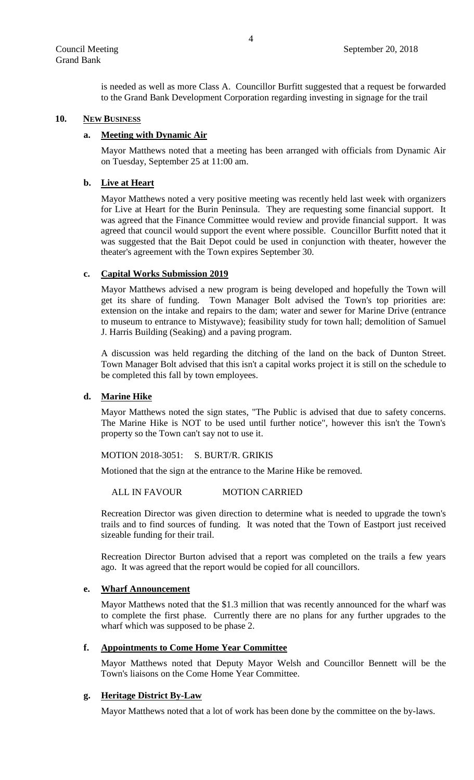is needed as well as more Class A. Councillor Burfitt suggested that a request be forwarded to the Grand Bank Development Corporation regarding investing in signage for the trail

## **10. NEW BUSINESS**

### **a. Meeting with Dynamic Air**

Mayor Matthews noted that a meeting has been arranged with officials from Dynamic Air on Tuesday, September 25 at 11:00 am.

### **b. Live at Heart**

Mayor Matthews noted a very positive meeting was recently held last week with organizers for Live at Heart for the Burin Peninsula. They are requesting some financial support. It was agreed that the Finance Committee would review and provide financial support. It was agreed that council would support the event where possible. Councillor Burfitt noted that it was suggested that the Bait Depot could be used in conjunction with theater, however the theater's agreement with the Town expires September 30.

### **c. Capital Works Submission 2019**

Mayor Matthews advised a new program is being developed and hopefully the Town will get its share of funding. Town Manager Bolt advised the Town's top priorities are: extension on the intake and repairs to the dam; water and sewer for Marine Drive (entrance to museum to entrance to Mistywave); feasibility study for town hall; demolition of Samuel J. Harris Building (Seaking) and a paving program.

A discussion was held regarding the ditching of the land on the back of Dunton Street. Town Manager Bolt advised that this isn't a capital works project it is still on the schedule to be completed this fall by town employees.

# **d. Marine Hike**

Mayor Matthews noted the sign states, "The Public is advised that due to safety concerns. The Marine Hike is NOT to be used until further notice", however this isn't the Town's property so the Town can't say not to use it.

#### MOTION 2018-3051: S. BURT/R. GRIKIS

Motioned that the sign at the entrance to the Marine Hike be removed.

#### ALL IN FAVOUR MOTION CARRIED

Recreation Director was given direction to determine what is needed to upgrade the town's trails and to find sources of funding. It was noted that the Town of Eastport just received sizeable funding for their trail.

Recreation Director Burton advised that a report was completed on the trails a few years ago. It was agreed that the report would be copied for all councillors.

### **e. Wharf Announcement**

Mayor Matthews noted that the \$1.3 million that was recently announced for the wharf was to complete the first phase. Currently there are no plans for any further upgrades to the wharf which was supposed to be phase 2.

# **f. Appointments to Come Home Year Committee**

Mayor Matthews noted that Deputy Mayor Welsh and Councillor Bennett will be the Town's liaisons on the Come Home Year Committee.

# **g. Heritage District By-Law**

Mayor Matthews noted that a lot of work has been done by the committee on the by-laws.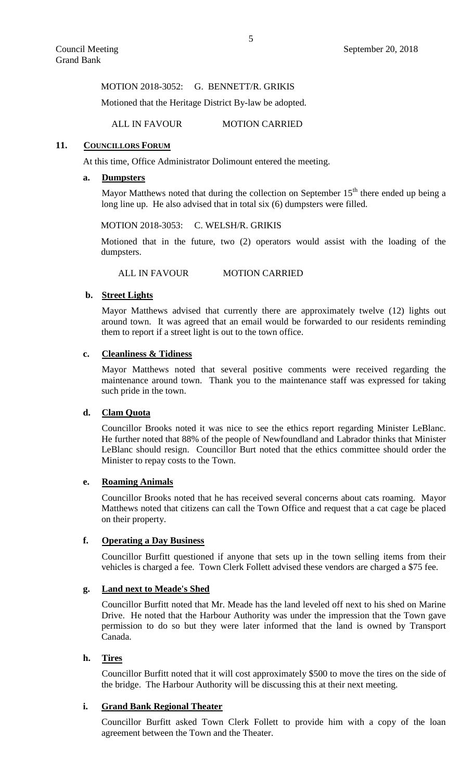MOTION 2018-3052: G. BENNETT/R. GRIKIS

Motioned that the Heritage District By-law be adopted.

ALL IN FAVOUR MOTION CARRIED

### 11. **COUNCILLORS FORUM**

At this time, Office Administrator Dolimount entered the meeting.

### **a. Dumpsters**

Mayor Matthews noted that during the collection on September  $15<sup>th</sup>$  there ended up being a long line up. He also advised that in total six (6) dumpsters were filled.

#### MOTION 2018-3053: C. WELSH/R. GRIKIS

Motioned that in the future, two (2) operators would assist with the loading of the dumpsters.

ALL IN FAVOUR MOTION CARRIED

# **b. Street Lights**

Mayor Matthews advised that currently there are approximately twelve (12) lights out around town. It was agreed that an email would be forwarded to our residents reminding them to report if a street light is out to the town office.

# **c. Cleanliness & Tidiness**

Mayor Matthews noted that several positive comments were received regarding the maintenance around town. Thank you to the maintenance staff was expressed for taking such pride in the town.

# **d. Clam Quota**

Councillor Brooks noted it was nice to see the ethics report regarding Minister LeBlanc. He further noted that 88% of the people of Newfoundland and Labrador thinks that Minister LeBlanc should resign. Councillor Burt noted that the ethics committee should order the Minister to repay costs to the Town.

# **e. Roaming Animals**

Councillor Brooks noted that he has received several concerns about cats roaming. Mayor Matthews noted that citizens can call the Town Office and request that a cat cage be placed on their property.

# **f. Operating a Day Business**

Councillor Burfitt questioned if anyone that sets up in the town selling items from their vehicles is charged a fee. Town Clerk Follett advised these vendors are charged a \$75 fee.

# **g. Land next to Meade's Shed**

Councillor Burfitt noted that Mr. Meade has the land leveled off next to his shed on Marine Drive. He noted that the Harbour Authority was under the impression that the Town gave permission to do so but they were later informed that the land is owned by Transport Canada.

#### **h. Tires**

Councillor Burfitt noted that it will cost approximately \$500 to move the tires on the side of the bridge. The Harbour Authority will be discussing this at their next meeting.

# **i. Grand Bank Regional Theater**

Councillor Burfitt asked Town Clerk Follett to provide him with a copy of the loan agreement between the Town and the Theater.